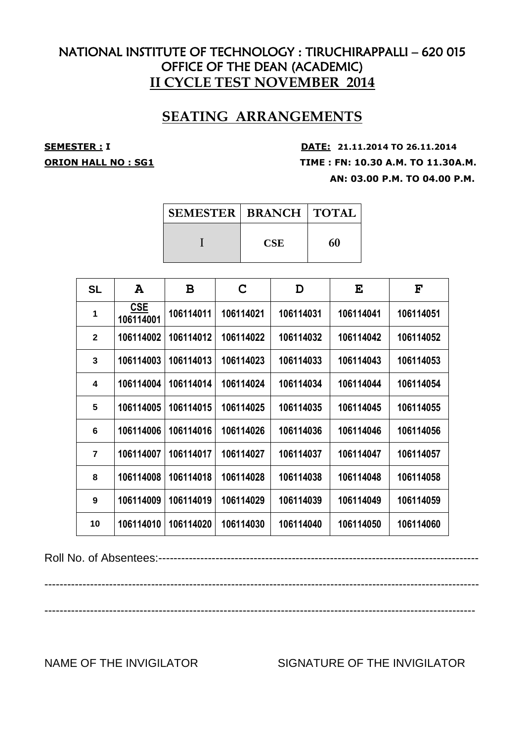## **SEATING ARRANGEMENTS**

**SEMESTER : <sup>I</sup> DATE: 21.11.2014 TO 26.11.2014 ORION HALL NO : SG1 TIME : FN: 10.30 A.M. TO 11.30A.M. AN: 03.00 P.M. TO 04.00 P.M.**

| SEMESTER   BRANCH   TOTAL |            |    |
|---------------------------|------------|----|
|                           | <b>CSE</b> | 60 |

| <b>SL</b>      | A                       | B         | C         | D         | E         | $\mathbf{F}$ |
|----------------|-------------------------|-----------|-----------|-----------|-----------|--------------|
| 1              | <b>CSE</b><br>106114001 | 106114011 | 106114021 | 106114031 | 106114041 | 106114051    |
| $\mathbf{2}$   | 106114002               | 106114012 | 106114022 | 106114032 | 106114042 | 106114052    |
| 3              | 106114003               | 106114013 | 106114023 | 106114033 | 106114043 | 106114053    |
| 4              | 106114004               | 106114014 | 106114024 | 106114034 | 106114044 | 106114054    |
| 5              | 106114005               | 106114015 | 106114025 | 106114035 | 106114045 | 106114055    |
| 6              | 106114006               | 106114016 | 106114026 | 106114036 | 106114046 | 106114056    |
| $\overline{7}$ | 106114007               | 106114017 | 106114027 | 106114037 | 106114047 | 106114057    |
| 8              | 106114008               | 106114018 | 106114028 | 106114038 | 106114048 | 106114058    |
| 9              | 106114009               | 106114019 | 106114029 | 106114039 | 106114049 | 106114059    |
| 10             | 106114010               | 106114020 | 106114030 | 106114040 | 106114050 | 106114060    |

Roll No. of Absentees:------------------------------------------------------------------------------------

------------------------------------------------------------------------------------------------------------------

-----------------------------------------------------------------------------------------------------------------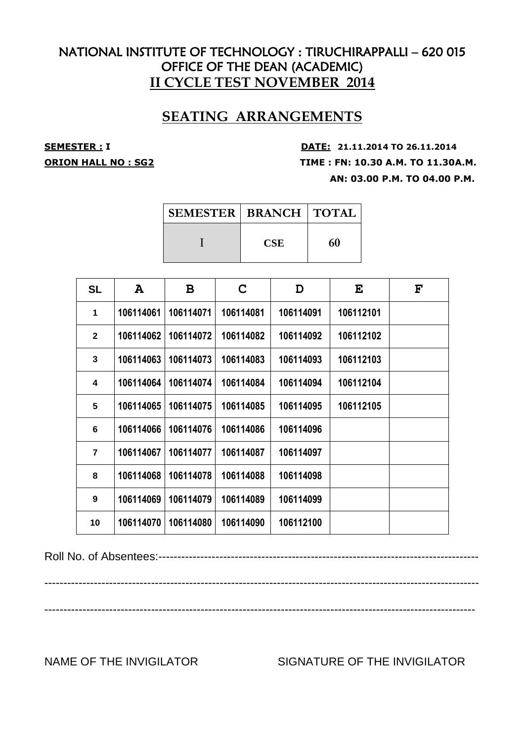## **SEATING ARRANGEMENTS**

**SEMESTER : <sup>I</sup> DATE: 21.11.2014 TO 26.11.2014 ORION HALL NO : SG2 TIME : FN: 10.30 A.M. TO 11.30A.M. AN: 03.00 P.M. TO 04.00 P.M.**

| SEMESTER   BRANCH   TOTAL |            |    |
|---------------------------|------------|----|
|                           | <b>CSE</b> | 60 |

| <b>SL</b>      | A         | B         | C         | D         | E         | $\mathbf{F}$ |
|----------------|-----------|-----------|-----------|-----------|-----------|--------------|
| 1              | 106114061 | 106114071 | 106114081 | 106114091 | 106112101 |              |
| $\mathbf{2}$   | 106114062 | 106114072 | 106114082 | 106114092 | 106112102 |              |
| 3              | 106114063 | 106114073 | 106114083 | 106114093 | 106112103 |              |
| 4              | 106114064 | 106114074 | 106114084 | 106114094 | 106112104 |              |
| 5              | 106114065 | 106114075 | 106114085 | 106114095 | 106112105 |              |
| 6              | 106114066 | 106114076 | 106114086 | 106114096 |           |              |
| $\overline{7}$ | 106114067 | 106114077 | 106114087 | 106114097 |           |              |
| 8              | 106114068 | 106114078 | 106114088 | 106114098 |           |              |
| 9              | 106114069 | 106114079 | 106114089 | 106114099 |           |              |
| 10             | 106114070 | 106114080 | 106114090 | 106112100 |           |              |

Roll No. of Absentees:------------------------------------------------------------------------------------

------------------------------------------------------------------------------------------------------------------

-----------------------------------------------------------------------------------------------------------------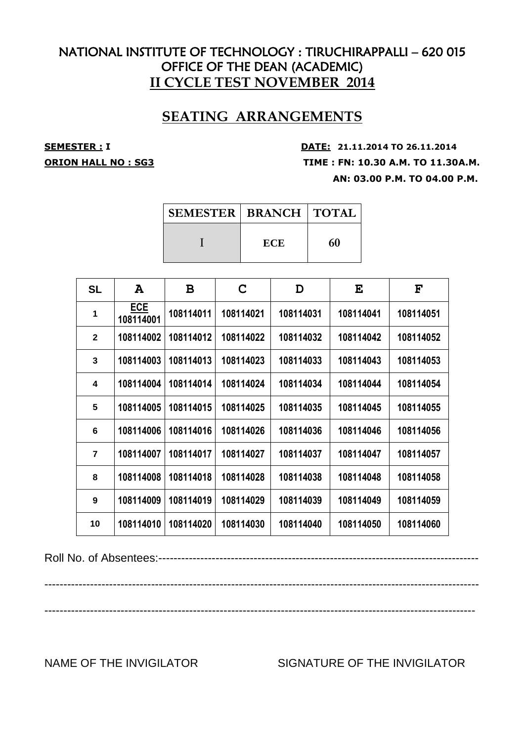## **SEATING ARRANGEMENTS**

**SEMESTER : <sup>I</sup> DATE: 21.11.2014 TO 26.11.2014 ORION HALL NO : SG3 TIME : FN: 10.30 A.M. TO 11.30A.M. AN: 03.00 P.M. TO 04.00 P.M.**

| <b>SEMESTER   BRANCH   TOTAL</b> |            |    |  |
|----------------------------------|------------|----|--|
|                                  | <b>ECE</b> | 60 |  |

| <b>SL</b>      | A                       | B         | C         | D         | E         | F         |
|----------------|-------------------------|-----------|-----------|-----------|-----------|-----------|
| 1              | <b>ECE</b><br>108114001 | 108114011 | 108114021 | 108114031 | 108114041 | 108114051 |
| $\overline{2}$ | 108114002               | 108114012 | 108114022 | 108114032 | 108114042 | 108114052 |
| 3              | 108114003               | 108114013 | 108114023 | 108114033 | 108114043 | 108114053 |
| 4              | 108114004               | 108114014 | 108114024 | 108114034 | 108114044 | 108114054 |
| 5              | 108114005               | 108114015 | 108114025 | 108114035 | 108114045 | 108114055 |
| 6              | 108114006               | 108114016 | 108114026 | 108114036 | 108114046 | 108114056 |
| $\overline{7}$ | 108114007               | 108114017 | 108114027 | 108114037 | 108114047 | 108114057 |
| 8              | 108114008               | 108114018 | 108114028 | 108114038 | 108114048 | 108114058 |
| 9              | 108114009               | 108114019 | 108114029 | 108114039 | 108114049 | 108114059 |
| 10             | 108114010               | 108114020 | 108114030 | 108114040 | 108114050 | 108114060 |

Roll No. of Absentees:------------------------------------------------------------------------------------

------------------------------------------------------------------------------------------------------------------

-----------------------------------------------------------------------------------------------------------------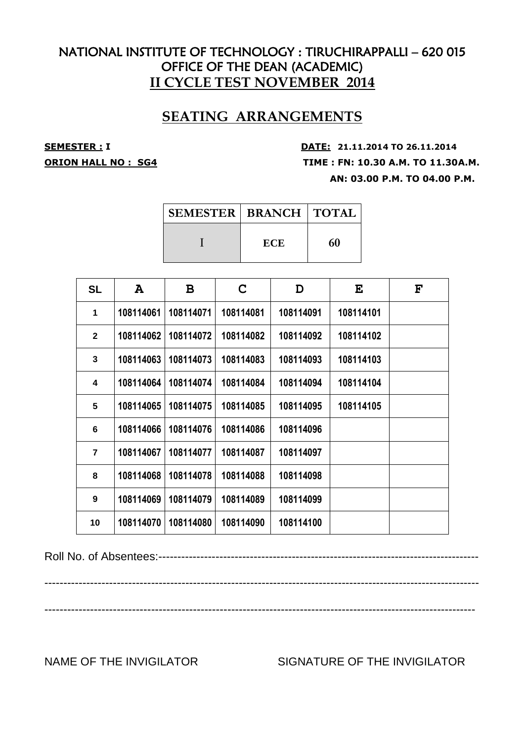## **SEATING ARRANGEMENTS**

**SEMESTER : <sup>I</sup> DATE: 21.11.2014 TO 26.11.2014 ORION HALL NO : SG4 TIME : FN: 10.30 A.M. TO 11.30A.M. AN: 03.00 P.M. TO 04.00 P.M.**

| <b>SEMESTER   BRANCH   TOTAL</b> |            |    |
|----------------------------------|------------|----|
|                                  | <b>ECE</b> | 60 |

| <b>SL</b>      | A         | B         | C         | D         | E         | $\mathbf{F}$ |
|----------------|-----------|-----------|-----------|-----------|-----------|--------------|
| 1              | 108114061 | 108114071 | 108114081 | 108114091 | 108114101 |              |
| $\mathbf{2}$   | 108114062 | 108114072 | 108114082 | 108114092 | 108114102 |              |
| 3              | 108114063 | 108114073 | 108114083 | 108114093 | 108114103 |              |
| 4              | 108114064 | 108114074 | 108114084 | 108114094 | 108114104 |              |
| 5              | 108114065 | 108114075 | 108114085 | 108114095 | 108114105 |              |
| 6              | 108114066 | 108114076 | 108114086 | 108114096 |           |              |
| $\overline{7}$ | 108114067 | 108114077 | 108114087 | 108114097 |           |              |
| 8              | 108114068 | 108114078 | 108114088 | 108114098 |           |              |
| 9              | 108114069 | 108114079 | 108114089 | 108114099 |           |              |
| 10             | 108114070 | 108114080 | 108114090 | 108114100 |           |              |

Roll No. of Absentees:------------------------------------------------------------------------------------

------------------------------------------------------------------------------------------------------------------

-----------------------------------------------------------------------------------------------------------------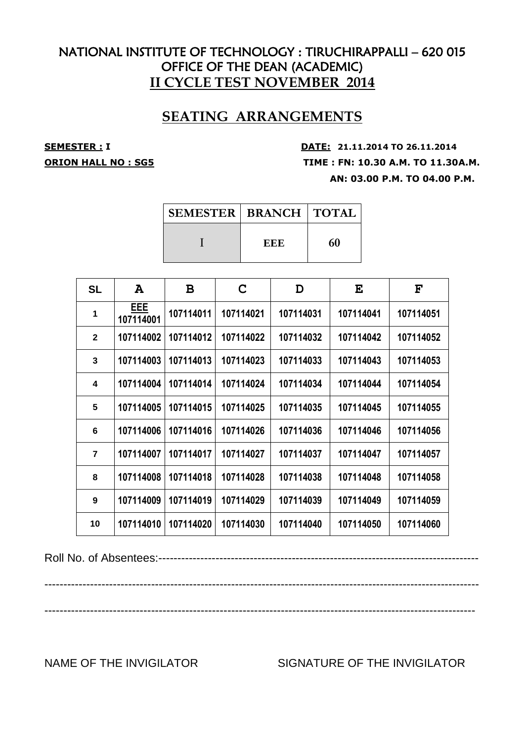## **SEATING ARRANGEMENTS**

**SEMESTER : <sup>I</sup> DATE: 21.11.2014 TO 26.11.2014 ORION HALL NO : SG5 TIME : FN: 10.30 A.M. TO 11.30A.M. AN: 03.00 P.M. TO 04.00 P.M.**

| SEMESTER   BRANCH   TOTAL |     |    |
|---------------------------|-----|----|
|                           | EEE | 60 |

| <b>SL</b>               | A                | B         | C         | D         | E         | F         |
|-------------------------|------------------|-----------|-----------|-----------|-----------|-----------|
| 1                       | EEE<br>107114001 | 107114011 | 107114021 | 107114031 | 107114041 | 107114051 |
| $\mathbf{2}$            | 107114002        | 107114012 | 107114022 | 107114032 | 107114042 | 107114052 |
| 3                       | 107114003        | 107114013 | 107114023 | 107114033 | 107114043 | 107114053 |
| $\overline{\mathbf{4}}$ | 107114004        | 107114014 | 107114024 | 107114034 | 107114044 | 107114054 |
| 5                       | 107114005        | 107114015 | 107114025 | 107114035 | 107114045 | 107114055 |
| 6                       | 107114006        | 107114016 | 107114026 | 107114036 | 107114046 | 107114056 |
| $\overline{7}$          | 107114007        | 107114017 | 107114027 | 107114037 | 107114047 | 107114057 |
| 8                       | 107114008        | 107114018 | 107114028 | 107114038 | 107114048 | 107114058 |
| 9                       | 107114009        | 107114019 | 107114029 | 107114039 | 107114049 | 107114059 |
| 10                      | 107114010        | 107114020 | 107114030 | 107114040 | 107114050 | 107114060 |

Roll No. of Absentees:------------------------------------------------------------------------------------

------------------------------------------------------------------------------------------------------------------

-----------------------------------------------------------------------------------------------------------------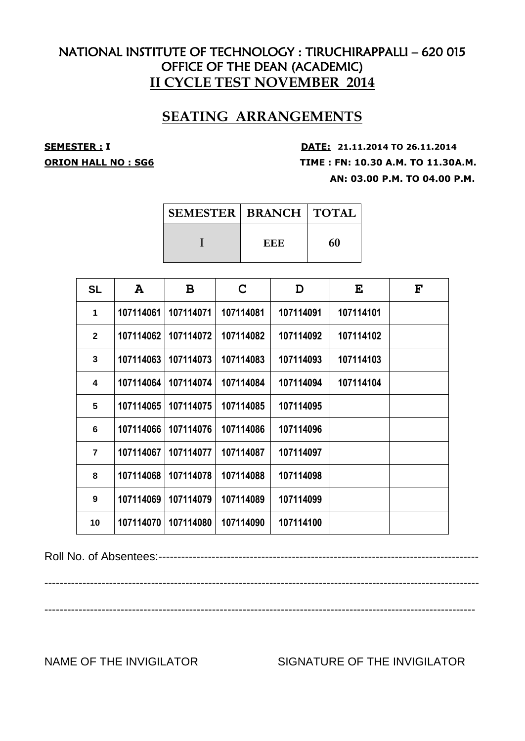## **SEATING ARRANGEMENTS**

**SEMESTER : <sup>I</sup> DATE: 21.11.2014 TO 26.11.2014 ORION HALL NO : SG6 TIME : FN: 10.30 A.M. TO 11.30A.M. AN: 03.00 P.M. TO 04.00 P.M.**

| SEMESTER   BRANCH   TOTAL |     |    |
|---------------------------|-----|----|
|                           | EEE | 60 |

| <b>SL</b>      | A         | B         | C         | D         | E         | $\mathbf{F}$ |
|----------------|-----------|-----------|-----------|-----------|-----------|--------------|
| 1              | 107114061 | 107114071 | 107114081 | 107114091 | 107114101 |              |
| $\mathbf{2}$   | 107114062 | 107114072 | 107114082 | 107114092 | 107114102 |              |
| 3              | 107114063 | 107114073 | 107114083 | 107114093 | 107114103 |              |
| 4              | 107114064 | 107114074 | 107114084 | 107114094 | 107114104 |              |
| 5              | 107114065 | 107114075 | 107114085 | 107114095 |           |              |
| 6              | 107114066 | 107114076 | 107114086 | 107114096 |           |              |
| $\overline{7}$ | 107114067 | 107114077 | 107114087 | 107114097 |           |              |
| 8              | 107114068 | 107114078 | 107114088 | 107114098 |           |              |
| 9              | 107114069 | 107114079 | 107114089 | 107114099 |           |              |
| 10             | 107114070 | 107114080 | 107114090 | 107114100 |           |              |

Roll No. of Absentees:------------------------------------------------------------------------------------

------------------------------------------------------------------------------------------------------------------

-----------------------------------------------------------------------------------------------------------------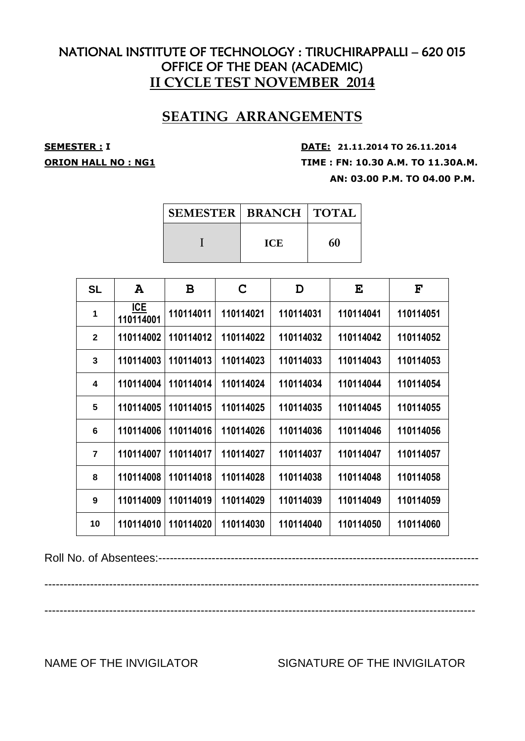## **SEATING ARRANGEMENTS**

**SEMESTER : <sup>I</sup> DATE: 21.11.2014 TO 26.11.2014 ORION HALL NO : NG1 TIME : FN: 10.30 A.M. TO 11.30A.M. AN: 03.00 P.M. TO 04.00 P.M.**

| <b>SEMESTER   BRANCH   TOTAL  </b> |            |    |
|------------------------------------|------------|----|
|                                    | <b>ICE</b> | 60 |

| <b>SL</b>      | A                       | B         | C         | D         | E         | $\mathbf{F}$ |
|----------------|-------------------------|-----------|-----------|-----------|-----------|--------------|
| 1              | <b>ICE</b><br>110114001 | 110114011 | 110114021 | 110114031 | 110114041 | 110114051    |
| $\overline{2}$ | 110114002               | 110114012 | 110114022 | 110114032 | 110114042 | 110114052    |
| 3              | 110114003               | 110114013 | 110114023 | 110114033 | 110114043 | 110114053    |
| 4              | 110114004               | 110114014 | 110114024 | 110114034 | 110114044 | 110114054    |
| 5              | 110114005               | 110114015 | 110114025 | 110114035 | 110114045 | 110114055    |
| 6              | 110114006               | 110114016 | 110114026 | 110114036 | 110114046 | 110114056    |
| $\overline{7}$ | 110114007               | 110114017 | 110114027 | 110114037 | 110114047 | 110114057    |
| 8              | 110114008               | 110114018 | 110114028 | 110114038 | 110114048 | 110114058    |
| 9              | 110114009               | 110114019 | 110114029 | 110114039 | 110114049 | 110114059    |
| 10             | 110114010               | 110114020 | 110114030 | 110114040 | 110114050 | 110114060    |

Roll No. of Absentees:------------------------------------------------------------------------------------

------------------------------------------------------------------------------------------------------------------

-----------------------------------------------------------------------------------------------------------------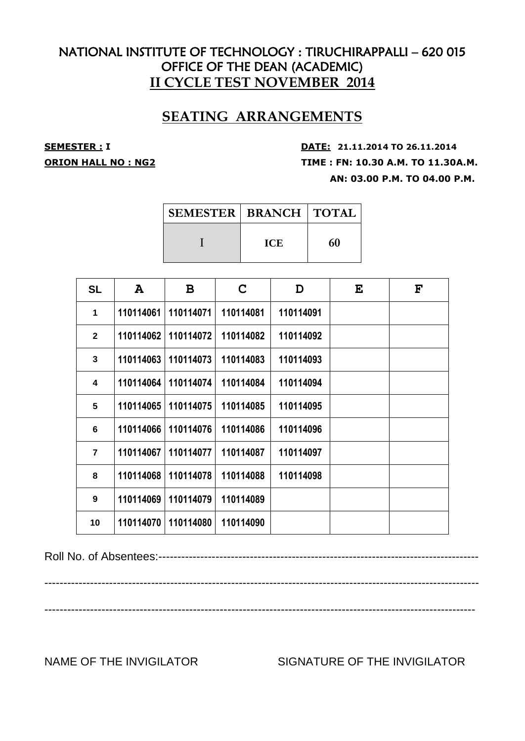## **SEATING ARRANGEMENTS**

**SEMESTER : <sup>I</sup> DATE: 21.11.2014 TO 26.11.2014 ORION HALL NO : NG2 TIME : FN: 10.30 A.M. TO 11.30A.M. AN: 03.00 P.M. TO 04.00 P.M.**

| SEMESTER   BRANCH   TOTAL |            |    |
|---------------------------|------------|----|
|                           | <b>ICE</b> | 60 |

| <b>SL</b>      | A         | B         | C         | D         | E | $\mathbf{F}$ |
|----------------|-----------|-----------|-----------|-----------|---|--------------|
| 1              | 110114061 | 110114071 | 110114081 | 110114091 |   |              |
| $\mathbf{2}$   | 110114062 | 110114072 | 110114082 | 110114092 |   |              |
| 3              | 110114063 | 110114073 | 110114083 | 110114093 |   |              |
| 4              | 110114064 | 110114074 | 110114084 | 110114094 |   |              |
| 5              | 110114065 | 110114075 | 110114085 | 110114095 |   |              |
| 6              | 110114066 | 110114076 | 110114086 | 110114096 |   |              |
| $\overline{7}$ | 110114067 | 110114077 | 110114087 | 110114097 |   |              |
| 8              | 110114068 | 110114078 | 110114088 | 110114098 |   |              |
| 9              | 110114069 | 110114079 | 110114089 |           |   |              |
| 10             | 110114070 | 110114080 | 110114090 |           |   |              |

Roll No. of Absentees:------------------------------------------------------------------------------------

------------------------------------------------------------------------------------------------------------------

-----------------------------------------------------------------------------------------------------------------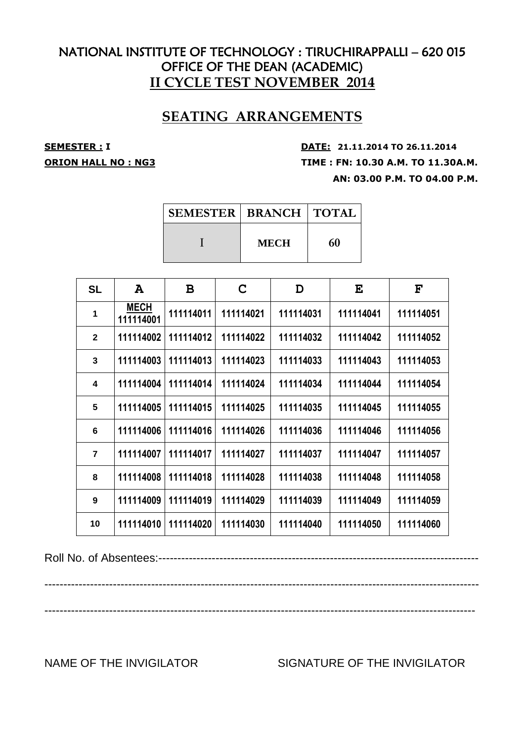## **SEATING ARRANGEMENTS**

**SEMESTER : <sup>I</sup> DATE: 21.11.2014 TO 26.11.2014 ORION HALL NO : NG3 TIME : FN: 10.30 A.M. TO 11.30A.M. AN: 03.00 P.M. TO 04.00 P.M.**

| <b>SEMESTER   BRANCH   TOTAL</b> |             |    |
|----------------------------------|-------------|----|
|                                  | <b>MECH</b> | 60 |

| <b>SL</b>      | A                        | B         | C         | D         | E         | $\mathbf{F}$ |
|----------------|--------------------------|-----------|-----------|-----------|-----------|--------------|
| 1              | <b>MECH</b><br>111114001 | 111114011 | 111114021 | 111114031 | 111114041 | 111114051    |
| $\overline{2}$ | 111114002                | 111114012 | 111114022 | 111114032 | 111114042 | 111114052    |
| 3              | 111114003                | 111114013 | 111114023 | 111114033 | 111114043 | 111114053    |
| 4              | 111114004                | 111114014 | 111114024 | 111114034 | 111114044 | 111114054    |
| 5              | 111114005                | 111114015 | 111114025 | 111114035 | 111114045 | 111114055    |
| 6              | 111114006                | 111114016 | 111114026 | 111114036 | 111114046 | 111114056    |
| $\overline{7}$ | 111114007                | 111114017 | 111114027 | 111114037 | 111114047 | 111114057    |
| 8              | 111114008                | 111114018 | 111114028 | 111114038 | 111114048 | 111114058    |
| 9              | 111114009                | 111114019 | 111114029 | 111114039 | 111114049 | 111114059    |
| 10             | 111114010                | 111114020 | 111114030 | 111114040 | 111114050 | 111114060    |

Roll No. of Absentees:------------------------------------------------------------------------------------

------------------------------------------------------------------------------------------------------------------

-----------------------------------------------------------------------------------------------------------------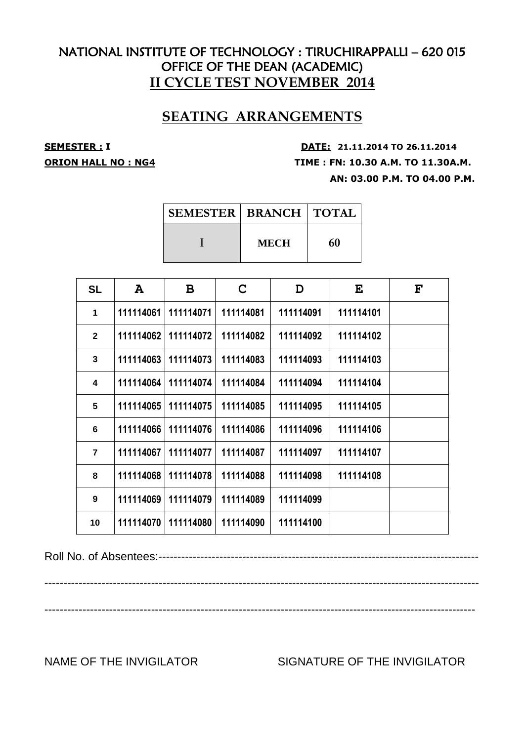## **SEATING ARRANGEMENTS**

**SEMESTER : <sup>I</sup> DATE: 21.11.2014 TO 26.11.2014 ORION HALL NO : NG4 TIME : FN: 10.30 A.M. TO 11.30A.M. AN: 03.00 P.M. TO 04.00 P.M.**

| SEMESTER   BRANCH   TOTAL |             |    |
|---------------------------|-------------|----|
|                           | <b>MECH</b> | 60 |

| <b>SL</b>      | A         | B         | C         | D         | E         | $\mathbf{F}$ |
|----------------|-----------|-----------|-----------|-----------|-----------|--------------|
| 1              | 111114061 | 111114071 | 111114081 | 111114091 | 111114101 |              |
| $\mathbf{2}$   | 111114062 | 111114072 | 111114082 | 111114092 | 111114102 |              |
| 3              | 111114063 | 111114073 | 111114083 | 111114093 | 111114103 |              |
| 4              | 111114064 | 111114074 | 111114084 | 111114094 | 111114104 |              |
| 5              | 111114065 | 111114075 | 111114085 | 111114095 | 111114105 |              |
| 6              | 111114066 | 111114076 | 111114086 | 111114096 | 111114106 |              |
| $\overline{7}$ | 111114067 | 111114077 | 111114087 | 111114097 | 111114107 |              |
| 8              | 111114068 | 111114078 | 111114088 | 111114098 | 111114108 |              |
| 9              | 111114069 | 111114079 | 111114089 | 111114099 |           |              |
| 10             | 111114070 | 111114080 | 111114090 | 111114100 |           |              |

Roll No. of Absentees:------------------------------------------------------------------------------------

------------------------------------------------------------------------------------------------------------------

-----------------------------------------------------------------------------------------------------------------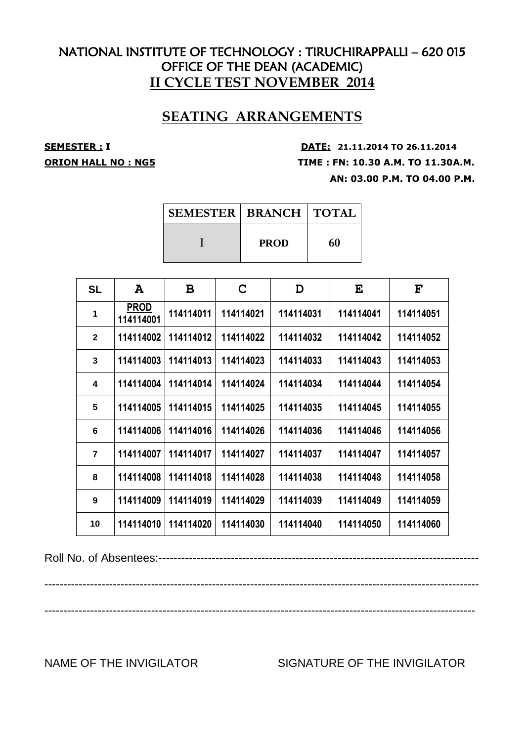## **SEATING ARRANGEMENTS**

**SEMESTER : <sup>I</sup> DATE: 21.11.2014 TO 26.11.2014 ORION HALL NO : NG5 TIME : FN: 10.30 A.M. TO 11.30A.M. AN: 03.00 P.M. TO 04.00 P.M.**

| <b>SEMESTER   BRANCH   TOTAL</b> |             |    |  |
|----------------------------------|-------------|----|--|
|                                  | <b>PROD</b> | 60 |  |

| <b>SL</b>      | A                        | B         | C         | D         | E         | F         |
|----------------|--------------------------|-----------|-----------|-----------|-----------|-----------|
| 1              | <b>PROD</b><br>114114001 | 114114011 | 114114021 | 114114031 | 114114041 | 114114051 |
| $\mathbf{2}$   | 114114002                | 114114012 | 114114022 | 114114032 | 114114042 | 114114052 |
| 3              | 114114003                | 114114013 | 114114023 | 114114033 | 114114043 | 114114053 |
| 4              | 114114004                | 114114014 | 114114024 | 114114034 | 114114044 | 114114054 |
| 5              | 114114005                | 114114015 | 114114025 | 114114035 | 114114045 | 114114055 |
| 6              | 114114006                | 114114016 | 114114026 | 114114036 | 114114046 | 114114056 |
| $\overline{7}$ | 114114007                | 114114017 | 114114027 | 114114037 | 114114047 | 114114057 |
| 8              | 114114008                | 114114018 | 114114028 | 114114038 | 114114048 | 114114058 |
| 9              | 114114009                | 114114019 | 114114029 | 114114039 | 114114049 | 114114059 |
| 10             | 114114010                | 114114020 | 114114030 | 114114040 | 114114050 | 114114060 |

Roll No. of Absentees:------------------------------------------------------------------------------------

------------------------------------------------------------------------------------------------------------------

-----------------------------------------------------------------------------------------------------------------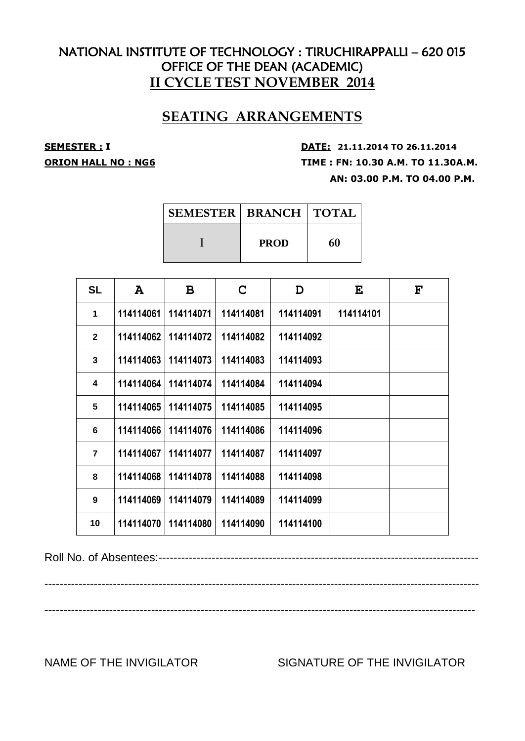## **SEATING ARRANGEMENTS**

**SEMESTER : <sup>I</sup> DATE: 21.11.2014 TO 26.11.2014 ORION HALL NO : NG6 TIME : FN: 10.30 A.M. TO 11.30A.M. AN: 03.00 P.M. TO 04.00 P.M.**

| SEMESTER   BRANCH   TOTAL |             |    |
|---------------------------|-------------|----|
|                           | <b>PROD</b> | 60 |

| <b>SL</b>      | A         | B         | $\mathbf C$ | D         | E         | $\mathbf{F}$ |
|----------------|-----------|-----------|-------------|-----------|-----------|--------------|
| 1              | 114114061 | 114114071 | 114114081   | 114114091 | 114114101 |              |
| $\mathbf{2}$   | 114114062 | 114114072 | 114114082   | 114114092 |           |              |
| 3              | 114114063 | 114114073 | 114114083   | 114114093 |           |              |
| 4              | 114114064 | 114114074 | 114114084   | 114114094 |           |              |
| 5              | 114114065 | 114114075 | 114114085   | 114114095 |           |              |
| 6              | 114114066 | 114114076 | 114114086   | 114114096 |           |              |
| $\overline{7}$ | 114114067 | 114114077 | 114114087   | 114114097 |           |              |
| 8              | 114114068 | 114114078 | 114114088   | 114114098 |           |              |
| 9              | 114114069 | 114114079 | 114114089   | 114114099 |           |              |
| 10             | 114114070 | 114114080 | 114114090   | 114114100 |           |              |

Roll No. of Absentees:------------------------------------------------------------------------------------

------------------------------------------------------------------------------------------------------------------

-----------------------------------------------------------------------------------------------------------------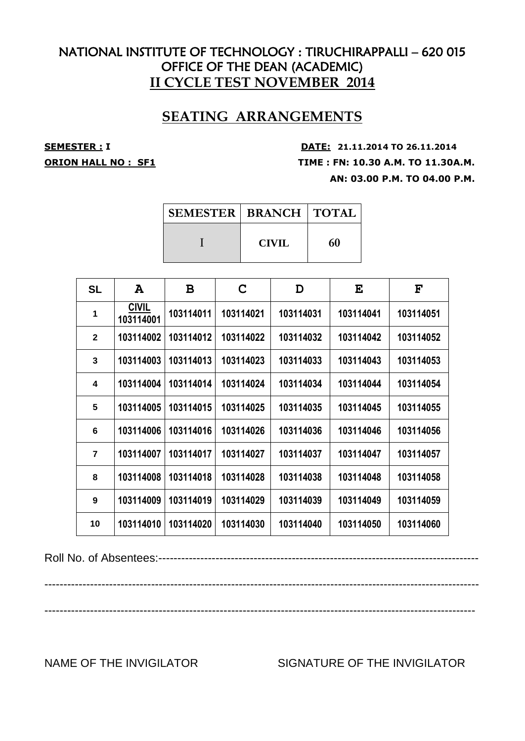## **SEATING ARRANGEMENTS**

**SEMESTER : <sup>I</sup> DATE: 21.11.2014 TO 26.11.2014 ORION HALL NO : SF1 TIME : FN: 10.30 A.M. TO 11.30A.M. AN: 03.00 P.M. TO 04.00 P.M.**

| <b>SEMESTER   BRANCH   TOTAL</b> |              |    |
|----------------------------------|--------------|----|
|                                  | <b>CIVIL</b> | 60 |

| <b>SL</b>      | A                         | B         | C         | D         | E         | F         |
|----------------|---------------------------|-----------|-----------|-----------|-----------|-----------|
| 1              | <b>CIVIL</b><br>103114001 | 103114011 | 103114021 | 103114031 | 103114041 | 103114051 |
| $\overline{2}$ | 103114002                 | 103114012 | 103114022 | 103114032 | 103114042 | 103114052 |
| 3              | 103114003                 | 103114013 | 103114023 | 103114033 | 103114043 | 103114053 |
| 4              | 103114004                 | 103114014 | 103114024 | 103114034 | 103114044 | 103114054 |
| 5              | 103114005                 | 103114015 | 103114025 | 103114035 | 103114045 | 103114055 |
| 6              | 103114006                 | 103114016 | 103114026 | 103114036 | 103114046 | 103114056 |
| $\overline{7}$ | 103114007                 | 103114017 | 103114027 | 103114037 | 103114047 | 103114057 |
| 8              | 103114008                 | 103114018 | 103114028 | 103114038 | 103114048 | 103114058 |
| 9              | 103114009                 | 103114019 | 103114029 | 103114039 | 103114049 | 103114059 |
| 10             | 103114010                 | 103114020 | 103114030 | 103114040 | 103114050 | 103114060 |

Roll No. of Absentees:------------------------------------------------------------------------------------

------------------------------------------------------------------------------------------------------------------

-----------------------------------------------------------------------------------------------------------------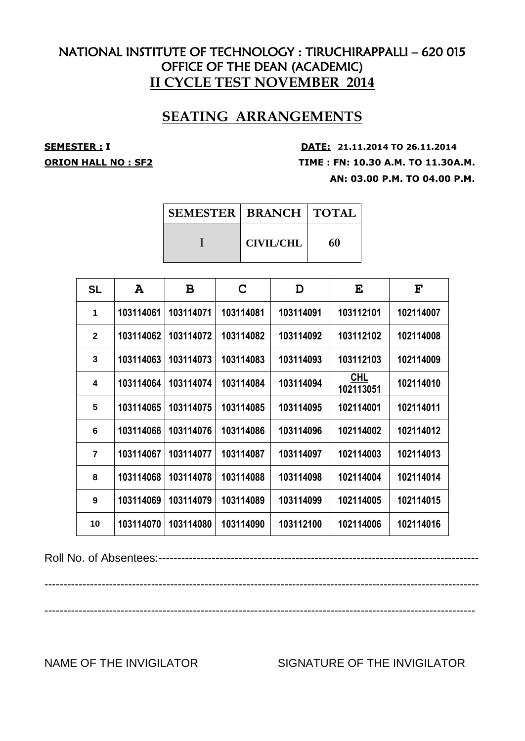## **SEATING ARRANGEMENTS**

**SEMESTER : <sup>I</sup> DATE: 21.11.2014 TO 26.11.2014 ORION HALL NO : SF2 TIME : FN: 10.30 A.M. TO 11.30A.M. AN: 03.00 P.M. TO 04.00 P.M.**

| <b>SEMESTER   BRANCH   TOTAL</b> |    |
|----------------------------------|----|
| <b>CIVIL/CHL</b>                 | 60 |

| <b>SL</b>      | A         | B         | C         | D         | E                | F         |
|----------------|-----------|-----------|-----------|-----------|------------------|-----------|
| 1              | 103114061 | 103114071 | 103114081 | 103114091 | 103112101        | 102114007 |
| $\mathbf{2}$   | 103114062 | 103114072 | 103114082 | 103114092 | 103112102        | 102114008 |
| 3              | 103114063 | 103114073 | 103114083 | 103114093 | 103112103        | 102114009 |
| 4              | 103114064 | 103114074 | 103114084 | 103114094 | CHL<br>102113051 | 102114010 |
| 5              | 103114065 | 103114075 | 103114085 | 103114095 | 102114001        | 102114011 |
| 6              | 103114066 | 103114076 | 103114086 | 103114096 | 102114002        | 102114012 |
| $\overline{7}$ | 103114067 | 103114077 | 103114087 | 103114097 | 102114003        | 102114013 |
| 8              | 103114068 | 103114078 | 103114088 | 103114098 | 102114004        | 102114014 |
| 9              | 103114069 | 103114079 | 103114089 | 103114099 | 102114005        | 102114015 |
| 10             | 103114070 | 103114080 | 103114090 | 103112100 | 102114006        | 102114016 |

Roll No. of Absentees:------------------------------------------------------------------------------------

------------------------------------------------------------------------------------------------------------------

-----------------------------------------------------------------------------------------------------------------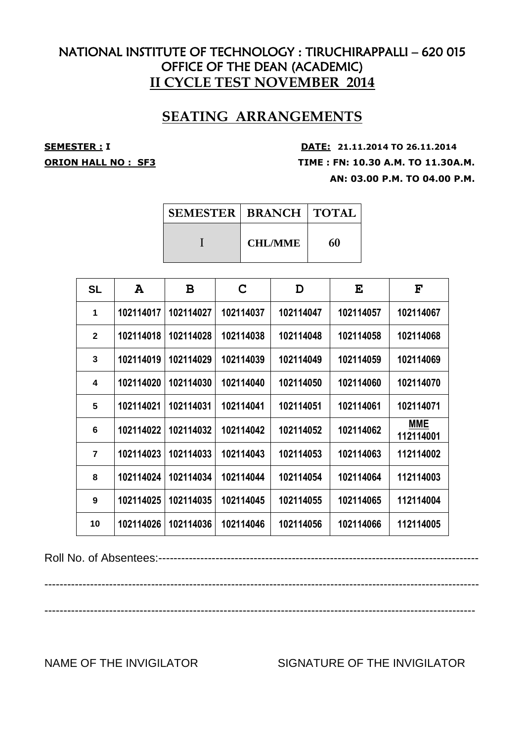## **SEATING ARRANGEMENTS**

**SEMESTER : <sup>I</sup> DATE: 21.11.2014 TO 26.11.2014 ORION HALL NO : SF3 TIME : FN: 10.30 A.M. TO 11.30A.M. AN: 03.00 P.M. TO 04.00 P.M.**

| <b>SEMESTER   BRANCH   TOTAL</b> |    |
|----------------------------------|----|
| <b>CHL/MME</b>                   | 60 |

| <b>SL</b>      | A         | B         | C         | D         | E         | $\mathbf{F}$            |
|----------------|-----------|-----------|-----------|-----------|-----------|-------------------------|
| 1              | 102114017 | 102114027 | 102114037 | 102114047 | 102114057 | 102114067               |
| $\mathbf{2}$   | 102114018 | 102114028 | 102114038 | 102114048 | 102114058 | 102114068               |
| 3              | 102114019 | 102114029 | 102114039 | 102114049 | 102114059 | 102114069               |
| 4              | 102114020 | 102114030 | 102114040 | 102114050 | 102114060 | 102114070               |
| 5              | 102114021 | 102114031 | 102114041 | 102114051 | 102114061 | 102114071               |
| 6              | 102114022 | 102114032 | 102114042 | 102114052 | 102114062 | <b>MME</b><br>112114001 |
| $\overline{7}$ | 102114023 | 102114033 | 102114043 | 102114053 | 102114063 | 112114002               |
| 8              | 102114024 | 102114034 | 102114044 | 102114054 | 102114064 | 112114003               |
| 9              | 102114025 | 102114035 | 102114045 | 102114055 | 102114065 | 112114004               |
| 10             | 102114026 | 102114036 | 102114046 | 102114056 | 102114066 | 112114005               |

Roll No. of Absentees:------------------------------------------------------------------------------------

------------------------------------------------------------------------------------------------------------------

-----------------------------------------------------------------------------------------------------------------